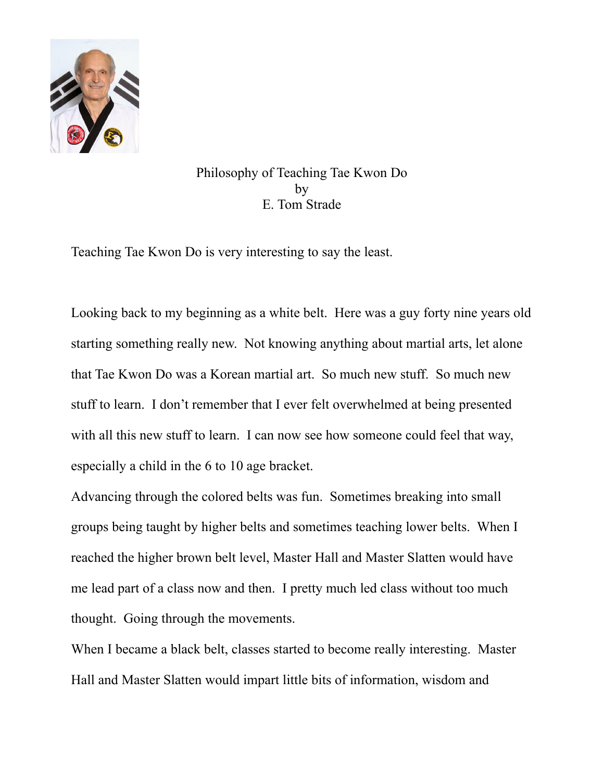

Philosophy of Teaching Tae Kwon Do by E. Tom Strade

Teaching Tae Kwon Do is very interesting to say the least.

Looking back to my beginning as a white belt. Here was a guy forty nine years old starting something really new. Not knowing anything about martial arts, let alone that Tae Kwon Do was a Korean martial art. So much new stuff. So much new stuff to learn. I don't remember that I ever felt overwhelmed at being presented with all this new stuff to learn. I can now see how someone could feel that way, especially a child in the 6 to 10 age bracket.

Advancing through the colored belts was fun. Sometimes breaking into small groups being taught by higher belts and sometimes teaching lower belts. When I reached the higher brown belt level, Master Hall and Master Slatten would have me lead part of a class now and then. I pretty much led class without too much thought. Going through the movements.

When I became a black belt, classes started to become really interesting. Master Hall and Master Slatten would impart little bits of information, wisdom and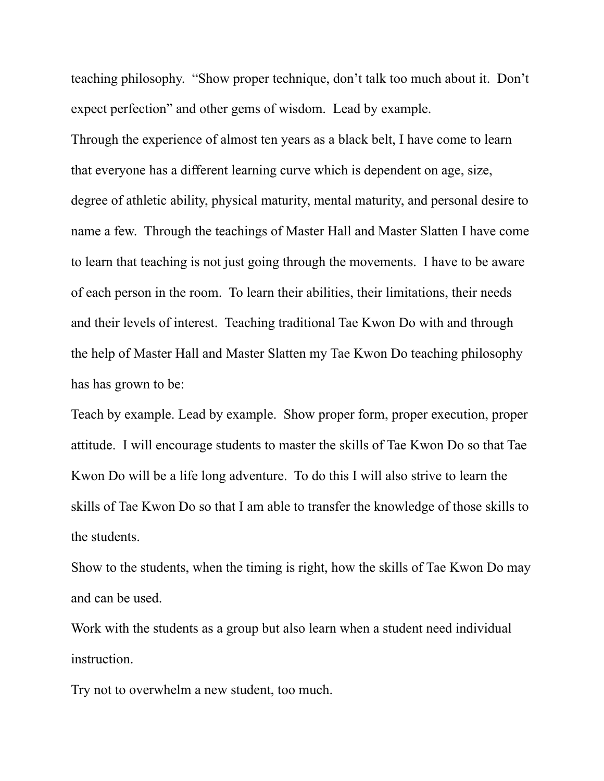teaching philosophy. "Show proper technique, don't talk too much about it. Don't expect perfection" and other gems of wisdom. Lead by example.

Through the experience of almost ten years as a black belt, I have come to learn that everyone has a different learning curve which is dependent on age, size, degree of athletic ability, physical maturity, mental maturity, and personal desire to name a few. Through the teachings of Master Hall and Master Slatten I have come to learn that teaching is not just going through the movements. I have to be aware of each person in the room. To learn their abilities, their limitations, their needs and their levels of interest. Teaching traditional Tae Kwon Do with and through the help of Master Hall and Master Slatten my Tae Kwon Do teaching philosophy has has grown to be:

Teach by example. Lead by example. Show proper form, proper execution, proper attitude. I will encourage students to master the skills of Tae Kwon Do so that Tae Kwon Do will be a life long adventure. To do this I will also strive to learn the skills of Tae Kwon Do so that I am able to transfer the knowledge of those skills to the students.

Show to the students, when the timing is right, how the skills of Tae Kwon Do may and can be used.

Work with the students as a group but also learn when a student need individual instruction.

Try not to overwhelm a new student, too much.